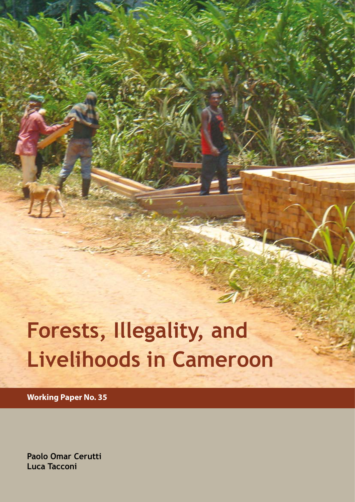# **Forests, Illegality, and Livelihoods in Cameroon**

**Working Paper No. 35**

**Paolo Omar Cerutti Luca Tacconi**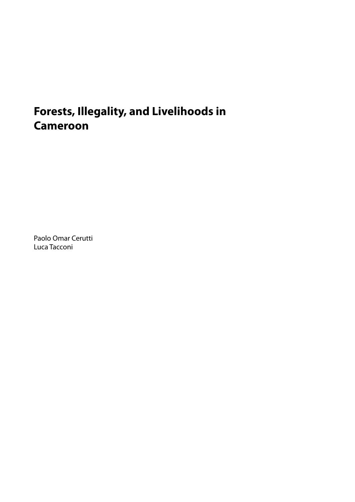# **Forests, Illegality, and Livelihoods in Cameroon**

Paolo Omar Cerutti Luca Tacconi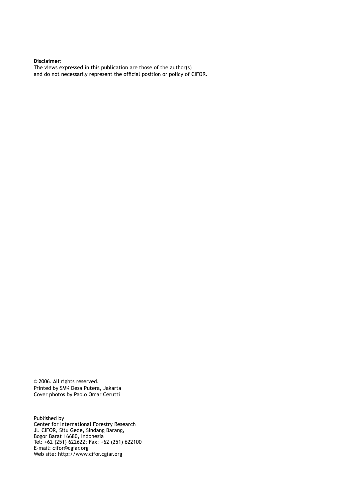**Disclaimer:** The views expressed in this publication are those of the author(s) and do not necessarily represent the official position or policy of CIFOR.

© 2006. All rights reserved. Printed by SMK Desa Putera, Jakarta Cover photos by Paolo Omar Cerutti

Published by Center for International Forestry Research Jl. CIFOR, Situ Gede, Sindang Barang, Bogor Barat 16680, Indonesia Tel: +62 (251) 622622; Fax: +62 (251) 622100 E-mail: cifor@cgiar.org Web site: http://www.cifor.cgiar.org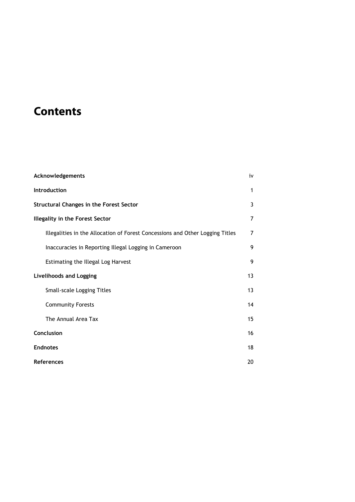## **Contents**

| Acknowledgements                                                              |    |  |  |  |
|-------------------------------------------------------------------------------|----|--|--|--|
| Introduction                                                                  |    |  |  |  |
| <b>Structural Changes in the Forest Sector</b>                                |    |  |  |  |
| <b>Illegality in the Forest Sector</b>                                        |    |  |  |  |
| Illegalities in the Allocation of Forest Concessions and Other Logging Titles | 7  |  |  |  |
| Inaccuracies in Reporting Illegal Logging in Cameroon                         | 9  |  |  |  |
| Estimating the Illegal Log Harvest                                            | 9  |  |  |  |
| <b>Livelihoods and Logging</b>                                                |    |  |  |  |
| <b>Small-scale Logging Titles</b>                                             | 13 |  |  |  |
| <b>Community Forests</b>                                                      | 14 |  |  |  |
| The Annual Area Tax                                                           | 15 |  |  |  |
| Conclusion                                                                    |    |  |  |  |
| <b>Endnotes</b>                                                               |    |  |  |  |
| <b>References</b>                                                             |    |  |  |  |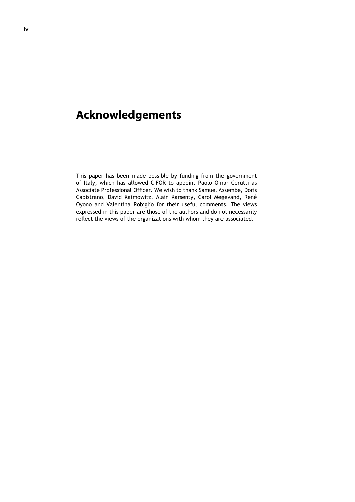### **Acknowledgements**

This paper has been made possible by funding from the government of Italy, which has allowed CIFOR to appoint Paolo Omar Cerutti as Associate Professional Officer. We wish to thank Samuel Assembe, Doris Capistrano, David Kaimowitz, Alain Karsenty, Carol Megevand, René Oyono and Valentina Robiglio for their useful comments. The views expressed in this paper are those of the authors and do not necessarily reflect the views of the organizations with whom they are associated.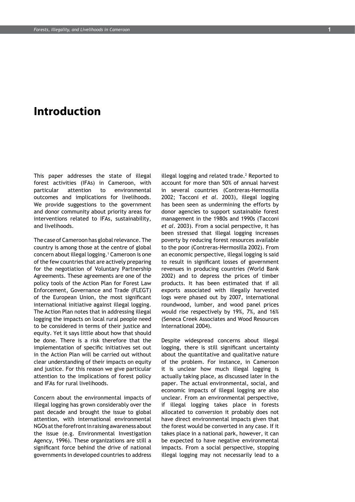### **Introduction**

This paper addresses the state of illegal forest activities (IFAs) in Cameroon, with particular attention to environmental outcomes and implications for livelihoods. We provide suggestions to the government and donor community about priority areas for interventions related to IFAs, sustainability, and livelihoods.

The case of Cameroon has global relevance. The country is among those at the centre of global concern about illegal logging.1 Cameroon is one of the few countries that are actively preparing for the negotiation of Voluntary Partnership Agreements. These agreements are one of the policy tools of the Action Plan for Forest Law Enforcement, Governance and Trade (FLEGT) of the European Union, the most significant international initiative against illegal logging. The Action Plan notes that in addressing illegal logging the impacts on local rural people need to be considered in terms of their justice and equity. Yet it says little about how that should be done. There is a risk therefore that the implementation of specific initiatives set out in the Action Plan will be carried out without clear understanding of their impacts on equity and justice. For this reason we give particular attention to the implications of forest policy and IFAs for rural livelihoods.

Concern about the environmental impacts of illegal logging has grown considerably over the past decade and brought the issue to global attention, with international environmental NGOs at the forefront in raising awareness about the issue (e.g. Environmental Investigation Agency, 1996). These organizations are still a significant force behind the drive of national governments in developed countries to address

illegal logging and related trade. $<sup>2</sup>$  Reported to</sup> account for more than 50% of annual harvest in several countries (Contreras-Hermosilla 2002; Tacconi *et al*. 2003), illegal logging has been seen as undermining the efforts by donor agencies to support sustainable forest management in the 1980s and 1990s (Tacconi *et al*. 2003). From a social perspective, it has been stressed that illegal logging increases poverty by reducing forest resources available to the poor (Contreras-Hermosilla 2002). From an economic perspective, illegal logging is said to result in significant losses of government revenues in producing countries (World Bank 2002) and to depress the prices of timber products. It has been estimated that if all exports associated with illegally harvested logs were phased out by 2007, international roundwood, lumber, and wood panel prices would rise respectively by 19%, 7%, and 16% (Seneca Creek Associates and Wood Resources International 2004).

Despite widespread concerns about illegal logging, there is still significant uncertainty about the quantitative and qualitative nature of the problem. For instance, in Cameroon it is unclear how much illegal logging is actually taking place, as discussed later in the paper. The actual environmental, social, and economic impacts of illegal logging are also unclear. From an environmental perspective, if illegal logging takes place in forests allocated to conversion it probably does not have direct environmental impacts given that the forest would be converted in any case. If it takes place in a national park, however, it can be expected to have negative environmental impacts. From a social perspective, stopping illegal logging may not necessarily lead to a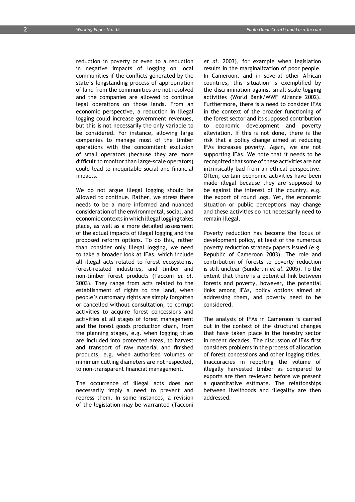reduction in poverty or even to a reduction in negative impacts of logging on local communities if the conflicts generated by the state's longstanding process of appropriation of land from the communities are not resolved and the companies are allowed to continue legal operations on those lands. From an economic perspective, a reduction in illegal logging could increase government revenues, but this is not necessarily the only variable to be considered. For instance, allowing large companies to manage most of the timber operations with the concomitant exclusion of small operators (because they are more difficult to monitor than large-scale operators) could lead to inequitable social and financial impacts.

We do not argue illegal logging should be allowed to continue. Rather, we stress there needs to be a more informed and nuanced consideration of the environmental, social, and economic contexts in which illegal logging takes place, as well as a more detailed assessment of the actual impacts of illegal logging and the proposed reform options. To do this, rather than consider only illegal logging, we need to take a broader look at IFAs, which include all illegal acts related to forest ecosystems, forest-related industries, and timber and non-timber forest products (Tacconi *et al.* 2003). They range from acts related to the establishment of rights to the land, when people's customary rights are simply forgotten or cancelled without consultation, to corrupt activities to acquire forest concessions and activities at all stages of forest management and the forest goods production chain, from the planning stages, e.g. when logging titles are included into protected areas, to harvest and transport of raw material and finished products, e.g. when authorised volumes or minimum cutting diameters are not respected, to non-transparent financial management.

The occurrence of illegal acts does not necessarily imply a need to prevent and repress them. In some instances, a revision of the legislation may be warranted (Tacconi *et al*. 2003), for example when legislation results in the marginalization of poor people. In Cameroon, and in several other African countries, this situation is exemplified by the discrimination against small-scale logging activities (World Bank/WWF Alliance 2002). Furthermore, there is a need to consider IFAs in the context of the broader functioning of the forest sector and its supposed contribution to economic development and poverty alleviation. If this is not done, there is the risk that a policy change aimed at reducing IFAs increases poverty. Again, we are not supporting IFAs. We note that it needs to be recognized that some of these activities are not intrinsically bad from an ethical perspective. Often, certain economic activities have been made illegal because they are supposed to be against the interest of the country, e.g. the export of round logs. Yet, the economic situation or public perceptions may change and these activities do not necessarily need to remain illegal.

Poverty reduction has become the focus of development policy, at least of the numerous poverty reduction strategy papers issued (e.g. Republic of Cameroon 2003). The role and contribution of forests to poverty reduction is still unclear (Sunderlin *et al.* 2005). To the extent that there is a potential link between forests and poverty, however, the potential links among IFAs, policy options aimed at addressing them, and poverty need to be considered.

The analysis of IFAs in Cameroon is carried out in the context of the structural changes that have taken place in the forestry sector in recent decades. The discussion of IFAs first considers problems in the process of allocation of forest concessions and other logging titles. Inaccuracies in reporting the volume of illegally harvested timber as compared to exports are then reviewed before we present a quantitative estimate. The relationships between livelihoods and illegality are then addressed.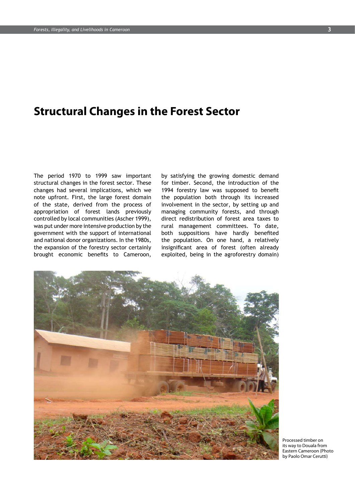### **Structural Changes in the Forest Sector**

The period 1970 to 1999 saw important structural changes in the forest sector. These changes had several implications, which we note upfront. First, the large forest domain of the state, derived from the process of appropriation of forest lands previously controlled by local communities (Ascher 1999), was put under more intensive production by the government with the support of international and national donor organizations. In the 1980s, the expansion of the forestry sector certainly brought economic benefits to Cameroon,

by satisfying the growing domestic demand for timber. Second, the introduction of the 1994 forestry law was supposed to benefit the population both through its increased involvement in the sector, by setting up and managing community forests, and through direct redistribution of forest area taxes to rural management committees. To date, both suppositions have hardly benefited the population. On one hand, a relatively insignificant area of forest (often already exploited, being in the agroforestry domain)



Processed timber on its way to Douala from Eastern Cameroon (Photo by Paolo Omar Cerutti)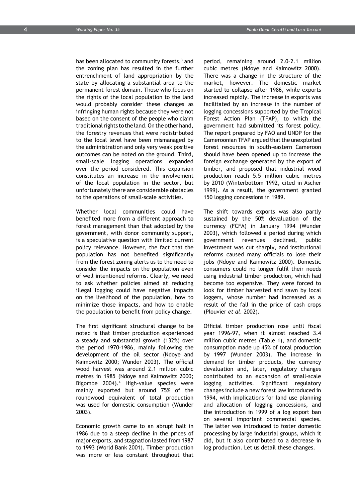has been allocated to community forests,<sup>3</sup> and the zoning plan has resulted in the further entrenchment of land appropriation by the state by allocating a substantial area to the permanent forest domain. Those who focus on the rights of the local population to the land would probably consider these changes as infringing human rights because they were not based on the consent of the people who claim traditional rights to the land. On the other hand, the forestry revenues that were redistributed to the local level have been mismanaged by the administration and only very weak positive outcomes can be noted on the ground. Third, small-scale logging operations expanded over the period considered. This expansion constitutes an increase in the involvement of the local population in the sector, but unfortunately there are considerable obstacles to the operations of small-scale activities.

Whether local communities could have benefited more from a different approach to forest management than that adopted by the government, with donor community support, is a speculative question with limited current policy relevance. However, the fact that the population has not benefited significantly from the forest zoning alerts us to the need to consider the impacts on the population even of well intentioned reforms. Clearly, we need to ask whether policies aimed at reducing illegal logging could have negative impacts on the livelihood of the population, how to minimize those impacts, and how to enable the population to benefit from policy change.

The first significant structural change to be noted is that timber production experienced a steady and substantial growth (132%) over the period 1970–1986, mainly following the development of the oil sector (Ndoye and Kaimowitz 2000; Wunder 2003). The official wood harvest was around 2.1 million cubic metres in 1985 (Ndoye and Kaimowitz 2000; Bigombe 2004).4 High-value species were mainly exported but around 75% of the roundwood equivalent of total production was used for domestic consumption (Wunder 2003).

Economic growth came to an abrupt halt in 1986 due to a steep decline in the prices of major exports, and stagnation lasted from 1987 to 1993 (World Bank 2001). Timber production was more or less constant throughout that

period, remaining around 2.0–2.1 million cubic metres (Ndoye and Kaimowitz 2000). There was a change in the structure of the market, however. The domestic market started to collapse after 1986, while exports increased rapidly. The increase in exports was facilitated by an increase in the number of logging concessions supported by the Tropical Forest Action Plan (TFAP), to which the government had submitted its forest policy. The report prepared by FAO and UNDP for the Cameroonian TFAP argued that the unexploited forest resources in south-eastern Cameroon should have been opened up to increase the foreign exchange generated by the export of timber, and proposed that industrial wood production reach 5.5 million cubic metres by 2010 (Winterbottom 1992, cited in Ascher 1999). As a result, the government granted 150 logging concessions in 1989.

The shift towards exports was also partly sustained by the 50% devaluation of the currency (FCFA) in January 1994 (Wunder 2003), which followed a period during which government revenues declined, public investment was cut sharply, and institutional reforms caused many officials to lose their jobs (Ndoye and Kaimowitz 2000). Domestic consumers could no longer fulfil their needs using industrial timber production, which had become too expensive. They were forced to look for timber harvested and sawn by local loggers, whose number had increased as a result of the fall in the price of cash crops (Plouvier *et al*. 2002).

Official timber production rose until fiscal year 1996–97, when it almost reached 3.4 million cubic metres (Table 1), and domestic consumption made up 45% of total production by 1997 (Wunder 2003). The increase in demand for timber products, the currency devaluation and, later, regulatory changes contributed to an expansion of small-scale logging activities. Significant regulatory changes include a new forest law introduced in 1994, with implications for land use planning and allocation of logging concessions, and the introduction in 1999 of a log export ban on several important commercial species. The latter was introduced to foster domestic processing by large industrial groups, which it did, but it also contributed to a decrease in log production. Let us detail these changes.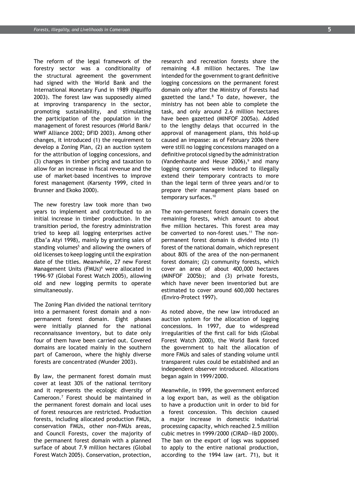The reform of the legal framework of the forestry sector was a conditionality of the structural agreement the government had signed with the World Bank and the International Monetary Fund in 1989 (Nguiffo 2003). The forest law was supposedly aimed at improving transparency in the sector, promoting sustainability, and stimulating the participation of the population in the management of forest resources (World Bank/ WWF Alliance 2002; DFID 2003). Among other changes, it introduced (1) the requirement to develop a Zoning Plan, (2) an auction system for the attribution of logging concessions, and (3) changes in timber pricing and taxation to allow for an increase in fiscal revenue and the use of market-based incentives to improve forest management (Karsenty 1999, cited in Brunner and Ekoko 2000).

The new forestry law took more than two years to implement and contributed to an initial increase in timber production. In the transition period, the forestry administration tried to keep all logging enterprises active (Eba'a Atyi 1998), mainly by granting sales of standing volumes<sup>5</sup> and allowing the owners of old licenses to keep logging until the expiration date of the titles. Meanwhile, 27 new Forest Management Units (FMUs)<sup>6</sup> were allocated in 1996–97 (Global Forest Watch 2005), allowing old and new logging permits to operate simultaneously.

The Zoning Plan divided the national territory into a permanent forest domain and a nonpermanent forest domain. Eight phases were initially planned for the national reconnaissance inventory, but to date only four of them have been carried out. Covered domains are located mainly in the southern part of Cameroon, where the highly diverse forests are concentrated (Wunder 2003).

By law, the permanent forest domain must cover at least 30% of the national territory and it represents the ecologic diversity of Cameroon.7 Forest should be maintained in the permanent forest domain and local uses of forest resources are restricted. Production forests, including allocated production FMUs, conservation FMUs, other non-FMUs areas, and Council Forests, cover the majority of the permanent forest domain with a planned surface of about 7.9 million hectares (Global Forest Watch 2005). Conservation, protection,

research and recreation forests share the remaining 4.8 million hectares. The law intended for the government to grant definitive logging concessions on the permanent forest domain only after the Ministry of Forests had gazetted the land.<sup>8</sup> To date, however, the ministry has not been able to complete the task, and only around 2.6 million hectares have been gazetted (MINFOF 2005a). Added to the lengthy delays that occurred in the approval of management plans, this hold-up caused an impasse: as of February 2006 there were still no logging concessions managed on a definitive protocol signed by the administration (Vandenhaute and Heuse  $2006$ ),<sup>9</sup> and many logging companies were induced to illegally extend their temporary contracts to more than the legal term of three years and/or to prepare their management plans based on temporary surfaces.<sup>10</sup>

The non-permanent forest domain covers the remaining forests, which amount to about five million hectares. This forest area may be converted to non-forest uses.<sup>11</sup> The nonpermanent forest domain is divided into (1) forest of the national domain, which represent about 80% of the area of the non-permanent forest domain; (2) community forests, which cover an area of about 400,000 hectares (MINFOF 2005b); and (3) private forests, which have never been inventoried but are estimated to cover around 600,000 hectares (Enviro-Protect 1997).

As noted above, the new law introduced an auction system for the allocation of logging concessions. In 1997, due to widespread irregularities of the first call for bids (Global Forest Watch 2000), the World Bank forced the government to halt the allocation of more FMUs and sales of standing volume until transparent rules could be established and an independent observer introduced. Allocations began again in 1999/2000.

Meanwhile, in 1999, the government enforced a log export ban, as well as the obligation to have a production unit in order to bid for a forest concession. This decision caused a major increase in domestic industrial processing capacity, which reached 2.5 million cubic metres in 1999/2000 (CIRAD—I&D 2000). The ban on the export of logs was supposed to apply to the entire national production, according to the 1994 law (art. 71), but it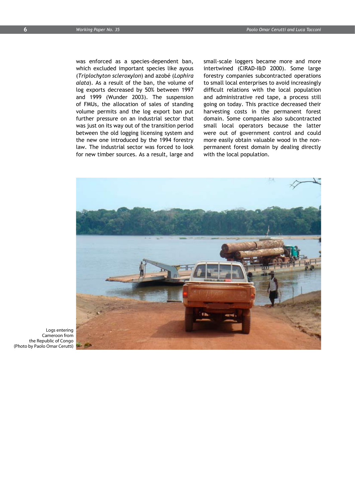was enforced as a species-dependent ban, which excluded important species like ayous (*Triplochyton scleroxylon*) and azobé (*Lophira alata*). As a result of the ban, the volume of log exports decreased by 50% between 1997 and 1999 (Wunder 2003). The suspension of FMUs, the allocation of sales of standing volume permits and the log export ban put further pressure on an industrial sector that was just on its way out of the transition period between the old logging licensing system and the new one introduced by the 1994 forestry law. The industrial sector was forced to look for new timber sources. As a result, large and

small-scale loggers became more and more intertwined (CIRAD-I&D 2000). Some large forestry companies subcontracted operations to small local enterprises to avoid increasingly difficult relations with the local population and administrative red tape, a process still going on today. This practice decreased their harvesting costs in the permanent forest domain. Some companies also subcontracted small local operators because the latter were out of government control and could more easily obtain valuable wood in the nonpermanent forest domain by dealing directly with the local population.



Logs entering Cameroon from the Republic of Congo (Photo by Paolo Omar Cerutti)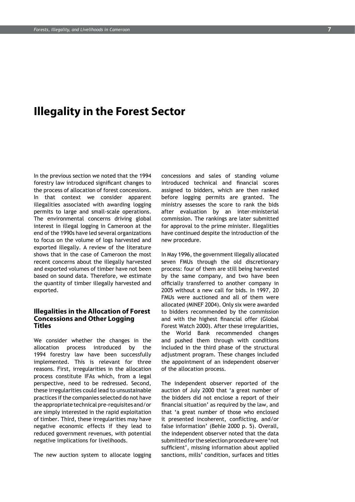### **Illegality in the Forest Sector**

In the previous section we noted that the 1994 forestry law introduced significant changes to the process of allocation of forest concessions. In that context we consider apparent illegalities associated with awarding logging permits to large and small-scale operations. The environmental concerns driving global interest in illegal logging in Cameroon at the end of the 1990s have led several organizations to focus on the volume of logs harvested and exported illegally. A review of the literature shows that in the case of Cameroon the most recent concerns about the illegally harvested and exported volumes of timber have not been based on sound data. Therefore, we estimate the quantity of timber illegally harvested and exported.

### **Illegalities in the Allocation of Forest Concessions and Other Logging Titles**

We consider whether the changes in the allocation process introduced by the 1994 forestry law have been successfully implemented. This is relevant for three reasons. First, irregularities in the allocation process constitute IFAs which, from a legal perspective, need to be redressed. Second, these irregularities could lead to unsustainable practices if the companies selected do not have the appropriate technical pre-requisites and/or are simply interested in the rapid exploitation of timber. Third, these irregularities may have negative economic effects if they lead to reduced government revenues, with potential negative implications for livelihoods.

The new auction system to allocate logging

concessions and sales of standing volume introduced technical and financial scores assigned to bidders, which are then ranked before logging permits are granted. The ministry assesses the score to rank the bids after evaluation by an inter-ministerial commission. The rankings are later submitted for approval to the prime minister. Illegalities have continued despite the introduction of the new procedure.

In May 1996, the government illegally allocated seven FMUs through the old discretionary process: four of them are still being harvested by the same company, and two have been officially transferred to another company in 2005 without a new call for bids. In 1997, 20 FMUs were auctioned and all of them were allocated (MINEF 2004). Only six were awarded to bidders recommended by the commission and with the highest financial offer (Global Forest Watch 2000). After these irregularities, the World Bank recommended changes and pushed them through with conditions included in the third phase of the structural adjustment program. These changes included the appointment of an independent observer of the allocation process.

The independent observer reported of the auction of July 2000 that 'a great number of the bidders did not enclose a report of their financial situation' as required by the law, and that 'a great number of those who enclosed it presented incoherent, conflicting, and/or false information' (Behle 2000 p. 5). Overall, the independent observer noted that the data submitted for the selection procedure were 'not sufficient', missing information about applied sanctions, mills' condition, surfaces and titles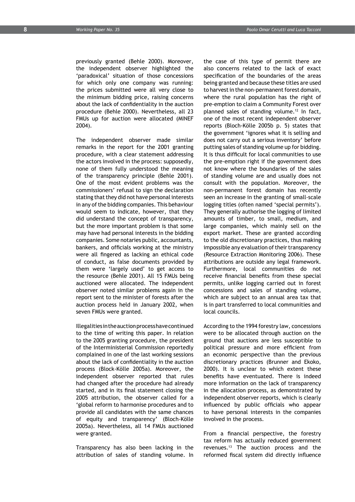previously granted (Behle 2000). Moreover, the independent observer highlighted the 'paradoxical' situation of those concessions for which only one company was running: the prices submitted were all very close to the minimum bidding price, raising concerns about the lack of confidentiality in the auction procedure (Behle 2000). Nevertheless, all 23 FMUs up for auction were allocated (MINEF 2004).

The independent observer made similar remarks in the report for the 2001 granting procedure, with a clear statement addressing the actors involved in the process: supposedly, none of them fully understood the meaning of the transparency principle (Behle 2001). One of the most evident problems was the commissioners' refusal to sign the declaration stating that they did not have personal interests in any of the bidding companies. This behaviour would seem to indicate, however, that they did understand the concept of transparency, but the more important problem is that some may have had personal interests in the bidding companies. Some notaries public, accountants, bankers, and officials working at the ministry were all fingered as lacking an ethical code of conduct, as false documents provided by them were 'largely used' to get access to the resource (Behle 2001). All 15 FMUs being auctioned were allocated. The independent observer noted similar problems again in the report sent to the minister of forests after the auction process held in January 2002, when seven FMUs were granted.

Illegalities in the auction process have continued to the time of writing this paper. In relation to the 2005 granting procedure, the president of the Interministerial Commission reportedly complained in one of the last working sessions about the lack of confidentiality in the auction process (Block-Kölle 2005a). Moreover, the independent observer reported that rules had changed after the procedure had already started, and in its final statement closing the 2005 attribution, the observer called for a 'global reform to harmonise procedures and to provide all candidates with the same chances of equity and transparency' (Bloch-Kölle 2005a). Nevertheless, all 14 FMUs auctioned were granted.

Transparency has also been lacking in the attribution of sales of standing volume. In the case of this type of permit there are also concerns related to the lack of exact specification of the boundaries of the areas being granted and because these titles are used to harvest in the non-permanent forest domain, where the rural population has the right of pre-emption to claim a Community Forest over planned sales of standing volume.<sup>12</sup> In fact, one of the most recent independent observer reports (Bloch-Kölle 2005b p. 5) states that the government 'ignores what it is selling and does not carry out a serious inventory' before putting sales of standing volume up for bidding. It is thus difficult for local communities to use the pre-emption right if the government does not know where the boundaries of the sales of standing volume are and usually does not consult with the population. Moreover, the non-permanent forest domain has recently seen an increase in the granting of small-scale logging titles (often named 'special permits'). They generally authorise the logging of limited amounts of timber, to small, medium, and large companies, which mainly sell on the export market. These are granted according to the old discretionary practices, thus making impossible any evaluation of their transparency (Resource Extraction Monitoring 2006). These attributions are outside any legal framework. Furthermore, local communities do not receive financial benefits from these special permits, unlike logging carried out in forest concessions and sales of standing volume, which are subject to an annual area tax that is in part transferred to local communities and local councils.

According to the 1994 forestry law, concessions were to be allocated through auction on the ground that auctions are less susceptible to political pressure and more efficient from an economic perspective than the previous discretionary practices (Brunner and Ekoko, 2000). It is unclear to which extent these benefits have eventuated. There is indeed more information on the lack of transparency in the allocation process, as demonstrated by independent observer reports, which is clearly influenced by public officials who appear to have personal interests in the companies involved in the process.

From a financial perspective, the forestry tax reform has actually reduced government revenues.13 The auction process and the reformed fiscal system did directly influence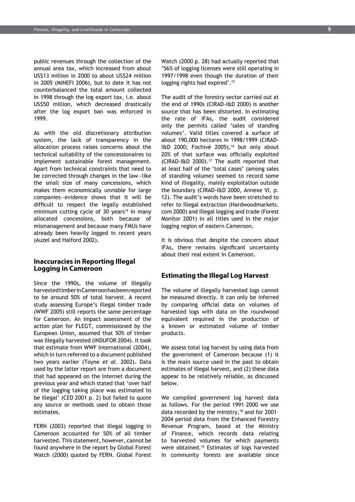public revenues through the collection of the annual area tax, which increased from about US\$13 million in 2000 to about US\$24 million in 2005 (MINEFI 2006), but to date it has not counterbalanced the total amount collected in 1998 through the log export tax, i.e. about US\$50 million, which decreased drastically after the log export ban was enforced in 1999.

As with the old discretionary attribution system, the lack of transparency in the allocation process raises concerns about the technical suitability of the concessionaires to implement sustainable forest management. Apart from technical constraints that need to be corrected through changes in the law—like the small size of many concessions, which makes them economically unviable for large companies—evidence shows that it will be difficult to respect the legally established minimum cutting cycle of 30 years $14$  in many allocated concessions, both because of mismanagement and because many FMUs have already been heavily logged in recent years (Auzel and Halford 2002).

#### **Inaccuracies in Reporting Illegal Logging in Cameroon**

Since the 1990s, the volume of illegally harvested timber in Cameroon has been reported to be around 50% of total harvest. A recent study assessing Europe's illegal timber trade (WWF 2005) still reports the same percentage for Cameroon. An impact assessment of the action plan for FLEGT, commissioned by the European Union, assumed that 50% of timber was illegally harvested (INDUFOR 2004). It took that estimate from WWF International (2004), which in turn referred to a document published two years earlier (Toyne *et al*. 2002). Data used by the latter report are from a document that had appeared on the Internet during the previous year and which stated that 'over half of the logging taking place was estimated to be illegal' (CED 2001 p. 2) but failed to quote any source or methods used to obtain those estimates.

FERN (2003) reported that illegal logging in Cameroon accounted for 50% of all timber harvested. This statement, however, cannot be found anywhere in the report by Global Forest Watch (2000) quoted by FERN. Global Forest Watch (2000 p. 28) had actually reported that '56% of logging licenses were still operating in 1997/1998 even though the duration of their logging rights had expired'.15

The audit of the forestry sector carried out at the end of 1990s (CIRAD-I&D 2000) is another source that has been distorted. In estimating the rate of IFAs, the audit considered only the permits called 'sales of standing volumes'. Valid titles covered a surface of about 190,000 hectares in 1998/1999 (CIRAD-I&D 2000; Fochivé 2005),<sup>16</sup> but only about 20% of that surface was officially exploited (CIRAD-I&D 2000).17 The audit reported that at least half of the 'total cases' (among sales of standing volume) seemed to record some kind of illegality, mainly exploitation outside the boundary (CIRAD-I&D 2000, Annexe VI, p. 12). The audit's words have been stretched to refer to illegal extraction (Hardwoodmarkets. com 2000) and illegal logging and trade (Forest Monitor 2001) in all titles used in the major logging region of eastern Cameroon.

It is obvious that despite the concern about IFAs, there remains significant uncertainty about their real extent in Cameroon.

#### **Estimating the Illegal Log Harvest**

The volume of illegally harvested logs cannot be measured directly. It can only be inferred by comparing official data on volumes of harvested logs with data on the roundwood equivalent required in the production of a known or estimated volume of timber products.

We assess total log harvest by using data from the government of Cameroon because (1) it is the main source used in the past to obtain estimates of illegal harvest, and (2) these data appear to be relatively reliable, as discussed below.

We compiled government log harvest data as follows. For the period 1991–2000 we use data recorded by the ministry,<sup>18</sup> and for 2001-2004 period data from the Enhanced Forestry Revenue Program, based at the Ministry of Finance, which records data relating to harvested volumes for which payments were obtained.19 Estimates of logs harvested in community forests are available since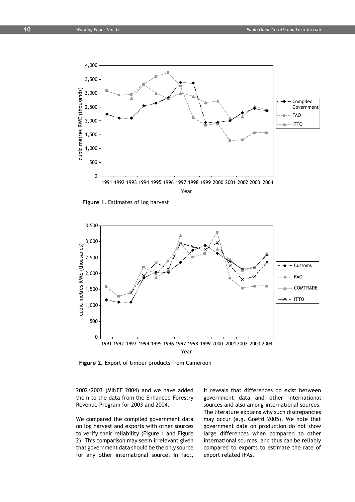

**Figure 1.** Estimates of log harvest



**Figure 2.** Export of timber products from Cameroon

2002/2003 (MINEF 2004) and we have added them to the data from the Enhanced Forestry Revenue Program for 2003 and 2004.

We compared the compiled government data on log harvest and exports with other sources to verify their reliability (Figure 1 and Figure 2). This comparison may seem irrelevant given that government data should be the only source for any other international source. In fact,

it reveals that differences do exist between government data and other international sources and also among international sources. The literature explains why such discrepancies may occur (e.g. Goetzl 2005). We note that government data on production do not show large differences when compared to other international sources, and thus can be reliably compared to exports to estimate the rate of export related IFAs.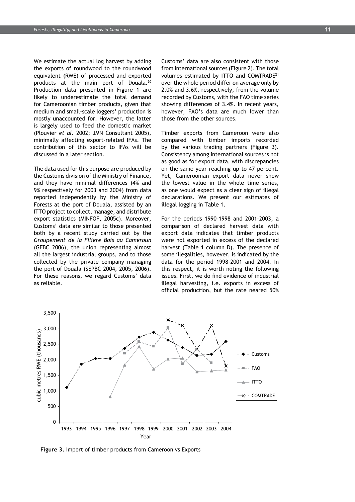We estimate the actual log harvest by adding the exports of roundwood to the roundwood equivalent (RWE) of processed and exported products at the main port of Douala.<sup>20</sup> Production data presented in Figure 1 are likely to underestimate the total demand for Cameroonian timber products, given that medium and small-scale loggers' production is mostly unaccounted for. However, the latter is largely used to feed the domestic market (Plouvier *et al.* 2002; JMN Consultant 2005), minimally affecting export-related IFAs. The contribution of this sector to IFAs will be discussed in a later section.

The data used for this purpose are produced by the Customs division of the Ministry of Finance, and they have minimal differences (4% and 9% respectively for 2003 and 2004) from data reported independently by the Ministry of Forests at the port of Douala, assisted by an ITTO project to collect, manage, and distribute export statistics (MINFOF, 2005c). Moreover, Customs' data are similar to those presented both by a recent study carried out by the *Groupement de la Filiere Bois au Cameroun* (GFBC 2006), the union representing almost all the largest industrial groups, and to those collected by the private company managing the port of Douala (SEPBC 2004, 2005, 2006). For these reasons, we regard Customs' data as reliable.

Customs' data are also consistent with those from international sources (Figure 2). The total volumes estimated by ITTO and COMTRADE21 over the whole period differ on average only by 2.0% and 3.6%, respectively, from the volume recorded by Customs, with the FAO time series showing differences of 3.4%. In recent years, however, FAO's data are much lower than those from the other sources.

Timber exports from Cameroon were also compared with timber imports recorded by the various trading partners (Figure 3). Consistency among international sources is not as good as for export data, with discrepancies on the same year reaching up to 47 percent. Yet, Cameroonian export data never show the lowest value in the whole time series, as one would expect as a clear sign of illegal declarations. We present our estimates of illegal logging in Table 1.

For the periods 1990–1998 and 2001–2003, a comparison of declared harvest data with export data indicates that timber products were not exported in excess of the declared harvest (Table 1 column D). The presence of some illegalities, however, is indicated by the data for the period 1998–2001 and 2004. In this respect, it is worth noting the following issues. First, we do find evidence of industrial illegal harvesting, i.e. exports in excess of official production, but the rate neared 50%



**Figure 3.** Import of timber products from Cameroon vs Exports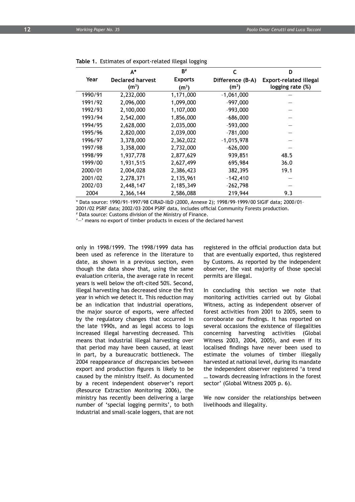|         | $A^*$                   | $B^{\#}$          | C                 | D                             |
|---------|-------------------------|-------------------|-------------------|-------------------------------|
| Year    | <b>Declared harvest</b> | <b>Exports</b>    | Difference (B-A)  | <b>Export-related illegal</b> |
|         | (m <sup>3</sup> )       | (m <sup>3</sup> ) | (m <sup>3</sup> ) | logging rate (%)              |
| 1990/91 | 2,232,000               | 1,171,000         | $-1,061,000$      |                               |
| 1991/92 | 2.096.000               | 1,099,000         | $-997,000$        |                               |
| 1992/93 | 2,100,000               | 1,107,000         | $-993,000$        |                               |
| 1993/94 | 2,542,000               | 1,856,000         | $-686,000$        |                               |
| 1994/95 | 2,628,000               | 2,035,000         | $-593,000$        |                               |
| 1995/96 | 2,820,000               | 2,039,000         | $-781,000$        |                               |
| 1996/97 | 3,378,000               | 2,362,022         | $-1,015,978$      |                               |
| 1997/98 | 3,358,000               | 2,732,000         | $-626,000$        |                               |
| 1998/99 | 1,937,778               | 2,877,629         | 939,851           | 48.5                          |
| 1999/00 | 1,931,515               | 2,627,499         | 695,984           | 36.0                          |
| 2000/01 | 2,004,028               | 2,386,423         | 382,395           | 19.1                          |
| 2001/02 | 2,278,371               | 2,135,961         | $-142,410$        |                               |
| 2002/03 | 2,448,147               | 2,185,349         | $-262,798$        |                               |
| 2004    | 2,366,144               | 2,586,088         | 219,944           | 9.3                           |
|         |                         |                   |                   |                               |

#### **Table 1.** Estimates of export-related illegal logging

\* Data source: 1990/91–1997/98 CIRAD-I&D (2000, Annexe 2); 1998/99–1999/00 SIGIF data; 2000/01–

2001/02 PSRF data; 2002/03–2004 PSRF data, includes official Community Forests production.

# Data source: Customs division of the Ministry of Finance.

'—' means no export of timber products in excess of the declared harvest

only in 1998/1999. The 1998/1999 data has been used as reference in the literature to date, as shown in a previous section, even though the data show that, using the same evaluation criteria, the average rate in recent years is well below the oft-cited 50%. Second, illegal harvesting has decreased since the first year in which we detect it. This reduction may be an indication that industrial operations, the major source of exports, were affected by the regulatory changes that occurred in the late 1990s, and as legal access to logs increased illegal harvesting decreased. This means that industrial illegal harvesting over that period may have been caused, at least in part, by a bureaucratic bottleneck. The 2004 reappearance of discrepancies between export and production figures is likely to be caused by the ministry itself. As documented by a recent independent observer's report (Resource Extraction Monitoring 2006), the ministry has recently been delivering a large number of 'special logging permits', to both industrial and small-scale loggers, that are not

registered in the official production data but that are eventually exported, thus registered by Customs. As reported by the independent observer, the vast majority of those special permits are illegal.

In concluding this section we note that monitoring activities carried out by Global Witness, acting as independent observer of forest activities from 2001 to 2005, seem to corroborate our findings. It has reported on several occasions the existence of illegalities concerning harvesting activities (Global Witness 2003, 2004, 2005), and even if its localised findings have never been used to estimate the volumes of timber illegally harvested at national level, during its mandate the independent observer registered 'a trend … towards decreasing infractions in the forest sector' (Global Witness 2005 p. 6).

We now consider the relationships between livelihoods and illegality.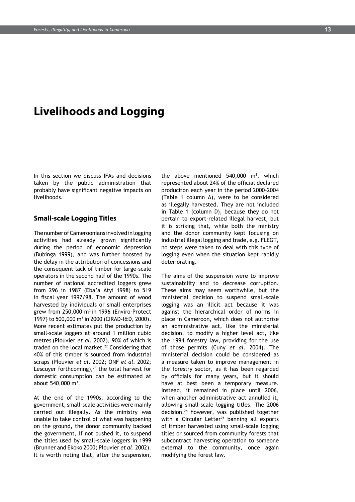### **Livelihoods and Logging**

In this section we discuss IFAs and decisions taken by the public administration that probably have significant negative impacts on livelihoods.

#### **Small-scale Logging Titles**

The number of Cameroonians involved in logging activities had already grown significantly during the period of economic depression (Bubinga 1999), and was further boosted by the delay in the attribution of concessions and the consequent lack of timber for large-scale operators in the second half of the 1990s. The number of national accredited loggers grew from 296 in 1987 (Eba'a Atyi 1998) to 519 in fiscal year 1997/98. The amount of wood harvested by individuals or small enterprises grew from 250,000 m<sup>3</sup> in 1996 (Enviro-Protect 1997) to 500,000 m3 in 2000 (CIRAD-I&D, 2000). More recent estimates put the production by small-scale loggers at around 1 million cubic metres (Plouvier *et al*. 2002), 90% of which is traded on the local market.<sup>22</sup> Considering that 40% of this timber is sourced from industrial scraps (Plouvier *et al*. 2002; ONF *et al.* 2002; Lescuyer forthcoming), $23$  the total harvest for domestic consumption can be estimated at about 540,000 m<sup>3</sup>.

At the end of the 1990s, according to the government, small-scale activities were mainly carried out illegally. As the ministry was unable to take control of what was happening on the ground, the donor community backed the government, if not pushed it, to suspend the titles used by small-scale loggers in 1999 (Brunner and Ekoko 2000; Plouvier *et al*. 2002). It is worth noting that, after the suspension,

the above mentioned  $540,000$  m<sup>3</sup>, which represented about 24% of the official declared production each year in the period 2000–2004 (Table 1 column A), were to be considered as illegally harvested. They are not included in Table 1 (column D), because they do not pertain to export-related illegal harvest, but it is striking that, while both the ministry and the donor community kept focusing on industrial illegal logging and trade, e.g. FLEGT, no steps were taken to deal with this type of logging even when the situation kept rapidly deteriorating.

The aims of the suspension were to improve sustainability and to decrease corruption. These aims may seem worthwhile, but the ministerial decision to suspend small-scale logging was an illicit act because it was against the hierarchical order of norms in place in Cameroon, which does not authorise an administrative act, like the ministerial decision, to modify a higher level act, like the 1994 forestry law, providing for the use of those permits (Cuny *et al.* 2004). The ministerial decision could be considered as a measure taken to improve management in the forestry sector, as it has been regarded by officials for many years, but it should have at best been a temporary measure. Instead, it remained in place until 2006, when another administrative act annulled it, allowing small-scale logging titles. The 2006 decision,<sup>24</sup> however, was published together with a Circular Letter<sup>25</sup> banning all exports of timber harvested using small-scale logging titles or sourced from community forests that subcontract harvesting operation to someone external to the community, once again modifying the forest law.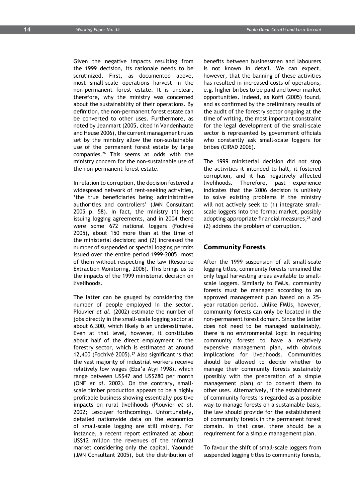Given the negative impacts resulting from the 1999 decision, its rationale needs to be scrutinized. First, as documented above, most small-scale operations harvest in the non-permanent forest estate. It is unclear, therefore, why the ministry was concerned about the sustainability of their operations. By definition, the non-permanent forest estate can be converted to other uses. Furthermore, as noted by Jeanmart (2005, cited in Vandenhaute and Heuse 2006), the current management rules set by the ministry allow the non-sustainable use of the permanent forest estate by large companies.26 This seems at odds with the ministry concern for the non-sustainable use of the non-permanent forest estate.

In relation to corruption, the decision fostered a widespread network of rent-seeking activities, 'the true beneficiaries being administrative authorities and controllers' (JMN Consultant 2005 p. 58). In fact, the ministry (1) kept issuing logging agreements, and in 2004 there were some 672 national loggers (Fochivé 2005), about 150 more than at the time of the ministerial decision; and (2) increased the number of suspended or special logging permits issued over the entire period 1999–2005, most of them without respecting the law (Resource Extraction Monitoring, 2006). This brings us to the impacts of the 1999 ministerial decision on livelihoods.

The latter can be gauged by considering the number of people employed in the sector. Plouvier *et al*. (2002) estimate the number of jobs directly in the small-scale logging sector at about 6,300, which likely is an underestimate. Even at that level, however, it constitutes about half of the direct employment in the forestry sector, which is estimated at around 12,400 (Fochivé 2005).<sup>27</sup> Also significant is that the vast majority of industrial workers receive relatively low wages (Eba'a Atyi 1998), which range between US\$47 and US\$280 per month (ONF *et al*. 2002). On the contrary, smallscale timber production appears to be a highly profitable business showing essentially positive impacts on rural livelihoods (Plouvier *et al*. 2002; Lescuyer forthcoming). Unfortunately, detailed nationwide data on the economics of small-scale logging are still missing. For instance, a recent report estimated at about US\$12 million the revenues of the informal market considering only the capital, Yaoundé (JMN Consultant 2005), but the distribution of benefits between businessmen and labourers is not known in detail. We can expect, however, that the banning of these activities has resulted in increased costs of operations, e.g. higher bribes to be paid and lower market opportunities. Indeed, as Koffi (2005) found, and as confirmed by the preliminary results of the audit of the forestry sector ongoing at the time of writing, the most important constraint for the legal development of the small-scale sector is represented by government officials who constantly ask small-scale loggers for bribes (CIRAD 2006).

The 1999 ministerial decision did not stop the activities it intended to halt, it fostered corruption, and it has negatively affected livelihoods. Therefore, past experience indicates that the 2006 decision is unlikely to solve existing problems if the ministry will not actively seek to (1) integrate smallscale loggers into the formal market, possibly adopting appropriate financial measures,<sup>28</sup> and (2) address the problem of corruption.

#### **Community Forests**

After the 1999 suspension of all small-scale logging titles, community forests remained the only legal harvesting areas available to smallscale loggers. Similarly to FMUs, community forests must be managed according to an approved management plan based on a 25 year rotation period. Unlike FMUs, however, community forests can only be located in the non-permanent forest domain. Since the latter does not need to be managed sustainably, there is no environmental logic in requiring community forests to have a relatively expensive management plan, with obvious implications for livelihoods. Communities should be allowed to decide whether to manage their community forests sustainably (possibly with the preparation of a simple management plan) or to convert them to other uses. Alternatively, if the establishment of community forests is regarded as a possible way to manage forests on a sustainable basis, the law should provide for the establishment of community forests in the permanent forest domain. In that case, there should be a requirement for a simple management plan.

To favour the shift of small-scale loggers from suspended logging titles to community forests,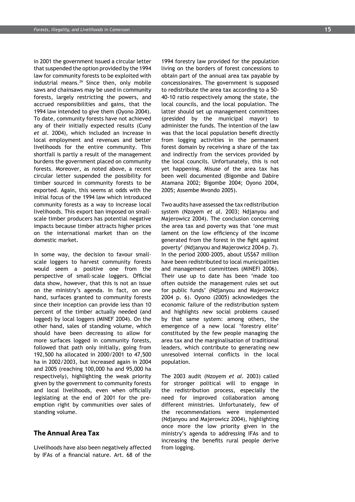in 2001 the government issued a circular letter that suspended the option provided by the 1994 law for community forests to be exploited with industrial means.<sup>29</sup> Since then, only mobile saws and chainsaws may be used in community forests, largely restricting the powers, and accrued responsibilities and gains, that the 1994 law intended to give them (Oyono 2004). To date, community forests have not achieved any of their initially expected results (Cuny *et al.* 2004), which included an increase in local employment and revenues and better livelihoods for the entire community. This shortfall is partly a result of the management burdens the government placed on community forests. Moreover, as noted above, a recent circular letter suspended the possibility for timber sourced in community forests to be exported. Again, this seems at odds with the initial focus of the 1994 law which introduced community forests as a way to increase local livelihoods. This export ban imposed on smallscale timber producers has potential negative impacts because timber attracts higher prices on the international market than on the domestic market.

In some way, the decision to favour smallscale loggers to harvest community forests would seem a positive one from the perspective of small-scale loggers. Official data show, however, that this is not an issue on the ministry's agenda. In fact, on one hand, surfaces granted to community forests since their inception can provide less than 10 percent of the timber actually needed (and logged) by local loggers (MINEF 2004). On the other hand, sales of standing volume, which should have been decreasing to allow for more surfaces logged in community forests, followed that path only initially, going from 192,500 ha allocated in 2000/2001 to 47,500 ha in 2002/2003, but increased again in 2004 and 2005 (reaching 100,000 ha and 95,000 ha respectively), highlighting the weak priority given by the government to community forests and local livelihoods, even when officially legislating at the end of 2001 for the preemption right by communities over sales of standing volume.

### **The Annual Area Tax**

Livelihoods have also been negatively affected by IFAs of a financial nature. Art. 68 of the

1994 forestry law provided for the population living on the borders of forest concessions to obtain part of the annual area tax payable by concessionaires. The government is supposed to redistribute the area tax according to a 50- 40-10 ratio respectively among the state, the local councils, and the local population. The latter should set up management committees (presided by the municipal mayor) to administer the funds. The intention of the law was that the local population benefit directly from logging activities in the permanent forest domain by receiving a share of the tax and indirectly from the services provided by the local councils. Unfortunately, this is not yet happening. Misuse of the area tax has been well documented (Bigombe and Dabire Atamana 2002; Bigombe 2004; Oyono 2004, 2005; Assembe Mvondo 2005).

Two audits have assessed the tax redistribution system (Nzoyem *et al.* 2003; Ndjanyou and Majerowicz 2004). The conclusion concerning the area tax and poverty was that 'one must lament on the low efficiency of the income generated from the forest in the fight against poverty' (Ndjanyou and Majerowicz 2004 p. 7). In the period 2000–2005, about US\$67 million have been redistributed to local municipalities and management committees (MINEFI 2006). Their use up to date has been 'made too often outside the management rules set out for public funds' (Ndjanyou and Majerowicz 2004 p. 6). Oyono (2005) acknowledges the economic failure of the redistribution system and highlights new social problems caused by that same system: among others, the emergence of a new local 'forestry elite' constituted by the few people managing the area tax and the marginalisation of traditional leaders, which contribute to generating new unresolved internal conflicts in the local population.

The 2003 audit (Nzoyem *et al*. 2003) called for stronger political will to engage in the redistribution process, especially the need for improved collaboration among different ministries. Unfortunately, few of the recommendations were implemented (Ndjanyou and Majerowicz 2004), highlighting once more the low priority given in the ministry's agenda to addressing IFAs and to increasing the benefits rural people derive from logging.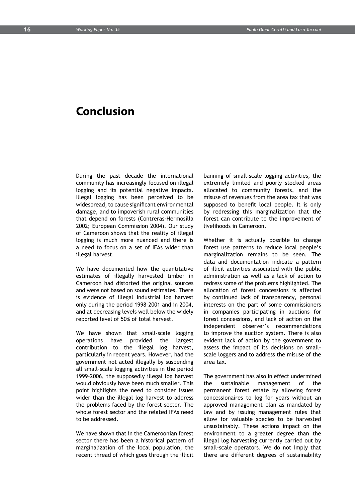### **Conclusion**

During the past decade the international community has increasingly focused on illegal logging and its potential negative impacts. Illegal logging has been perceived to be widespread, to cause significant environmental damage, and to impoverish rural communities that depend on forests (Contreras-Hermosilla 2002; European Commission 2004). Our study of Cameroon shows that the reality of illegal logging is much more nuanced and there is a need to focus on a set of IFAs wider than illegal harvest.

We have documented how the quantitative estimates of illegally harvested timber in Cameroon had distorted the original sources and were not based on sound estimates. There is evidence of illegal industrial log harvest only during the period 1998–2001 and in 2004, and at decreasing levels well below the widely reported level of 50% of total harvest.

We have shown that small-scale logging operations have provided the largest contribution to the illegal log harvest, particularly in recent years. However, had the government not acted illegally by suspending all small-scale logging activities in the period 1999–2006, the supposedly illegal log harvest would obviously have been much smaller. This point highlights the need to consider issues wider than the illegal log harvest to address the problems faced by the forest sector. The whole forest sector and the related IFAs need to be addressed.

We have shown that in the Cameroonian forest sector there has been a historical pattern of marginalization of the local population, the recent thread of which goes through the illicit banning of small-scale logging activities, the extremely limited and poorly stocked areas allocated to community forests, and the misuse of revenues from the area tax that was supposed to benefit local people. It is only by redressing this marginalization that the forest can contribute to the improvement of livelihoods in Cameroon.

Whether it is actually possible to change forest use patterns to reduce local people's marginalization remains to be seen. The data and documentation indicate a pattern of illicit activities associated with the public administration as well as a lack of action to redress some of the problems highlighted. The allocation of forest concessions is affected by continued lack of transparency, personal interests on the part of some commissioners in companies participating in auctions for forest concessions, and lack of action on the independent observer's recommendations to improve the auction system. There is also evident lack of action by the government to assess the impact of its decisions on smallscale loggers and to address the misuse of the area tax.

The government has also in effect undermined the sustainable management of the permanent forest estate by allowing forest concessionaires to log for years without an approved management plan as mandated by law and by issuing management rules that allow for valuable species to be harvested unsustainably. These actions impact on the environment to a greater degree than the illegal log harvesting currently carried out by small-scale operators. We do not imply that there are different degrees of sustainability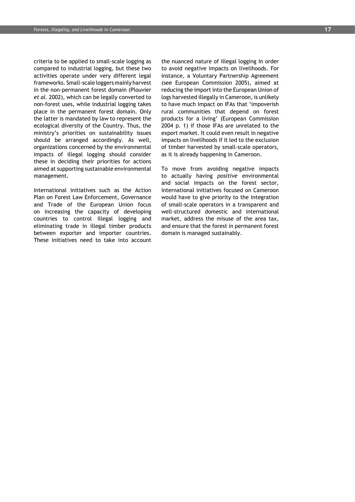criteria to be applied to small-scale logging as compared to industrial logging, but these two activities operate under very different legal frameworks. Small-scale loggers mainly harvest in the non-permanent forest domain (Plouvier *et al.* 2002), which can be legally converted to non-forest uses, while industrial logging takes place in the permanent forest domain. Only the latter is mandated by law to represent the ecological diversity of the Country. Thus, the ministry's priorities on sustainability issues should be arranged accordingly. As well, organizations concerned by the environmental impacts of illegal logging should consider these in deciding their priorities for actions aimed at supporting sustainable environmental management.

International initiatives such as the Action Plan on Forest Law Enforcement, Governance and Trade of the European Union focus on increasing the capacity of developing countries to control illegal logging and eliminating trade in illegal timber products between exporter and importer countries. These initiatives need to take into account

the nuanced nature of illegal logging in order to avoid negative impacts on livelihoods. For instance, a Voluntary Partnership Agreement (see European Commission 2005), aimed at reducing the import into the European Union of logs harvested illegally in Cameroon, is unlikely to have much impact on IFAs that 'impoverish rural communities that depend on forest products for a living' (European Commission 2004 p. 1) if those IFAs are unrelated to the export market. It could even result in negative impacts on livelihoods if it led to the exclusion of timber harvested by small-scale operators, as it is already happening in Cameroon.

To move from avoiding negative impacts to actually having *positive* environmental and social impacts on the forest sector, international initiatives focused on Cameroon would have to give priority to the integration of small-scale operators in a transparent and well-structured domestic and international market, address the misuse of the area tax, and ensure that the forest in permanent forest domain is managed sustainably.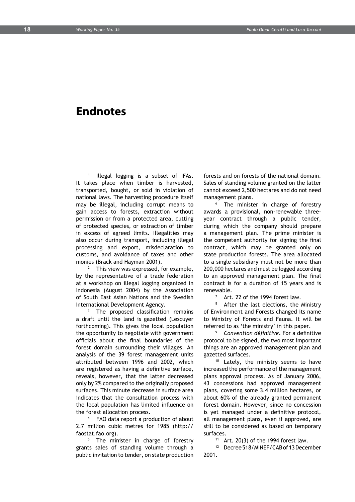### **Endnotes**

**<sup>1</sup>** Illegal logging is a subset of IFAs. It takes place when timber is harvested, transported, bought, or sold in violation of national laws. The harvesting procedure itself may be illegal, including corrupt means to gain access to forests, extraction without permission or from a protected area, cutting of protected species, or extraction of timber in excess of agreed limits. Illegalities may also occur during transport, including illegal processing and export, misdeclaration to customs, and avoidance of taxes and other monies (Brack and Hayman 2001).

<sup>2</sup> This view was expressed, for example, by the representative of a trade federation at a workshop on illegal logging organized in Indonesia (August 2004) by the Association of South East Asian Nations and the Swedish International Development Agency.

<sup>3</sup> The proposed classification remains a draft until the land is gazetted (Lescuyer forthcoming). This gives the local population the opportunity to negotiate with government officials about the final boundaries of the forest domain surrounding their villages. An analysis of the 39 forest management units attributed between 1996 and 2002, which are registered as having a definitive surface, reveals, however, that the latter decreased only by 2% compared to the originally proposed surfaces. This minute decrease in surface area indicates that the consultation process with the local population has limited influence on the forest allocation process.

FAO data report a production of about 2.7 million cubic metres for 1985 (http:// faostat.fao.org).

<sup>5</sup> The minister in charge of forestry grants sales of standing volume through a public invitation to tender, on state production

forests and on forests of the national domain. Sales of standing volume granted on the latter cannot exceed 2,500 hectares and do not need management plans.

<sup>6</sup> The minister in charge of forestry awards a provisional, non-renewable threeyear contract through a public tender, during which the company should prepare a management plan. The prime minister is the competent authority for signing the final contract, which may be granted only on state production forests. The area allocated to a single subsidiary must not be more than 200,000 hectares and must be logged according to an approved management plan. The final contract is for a duration of 15 years and is renewable.

 $7$  Art. 22 of the 1994 forest law.

<sup>8</sup> After the last elections, the Ministry of Environment and Forests changed its name to Ministry of Forests and Fauna. It will be referred to as 'the ministry' in this paper.

<sup>9</sup> *Convention définitive*. For a definitive protocol to be signed, the two most important things are an approved management plan and gazetted surfaces.

<sup>10</sup> Lately, the ministry seems to have increased the performance of the management plans approval process. As of January 2006, 43 concessions had approved management plans, covering some 3.4 million hectares, or about 60% of the already granted permanent forest domain. However, since no concession is yet managed under a definitive protocol, all management plans, even if approved, are still to be considered as based on temporary surfaces.

Art.  $20(3)$  of the 1994 forest law.

<sup>12</sup> Decree 518/MINEF/CAB of 13 December 2001.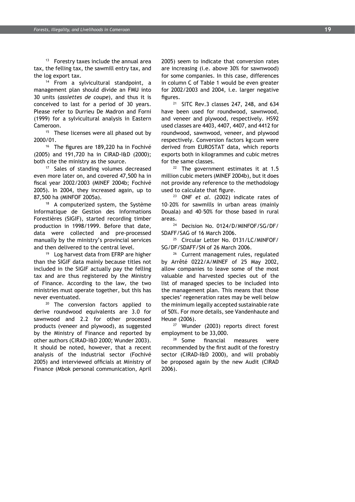<sup>13</sup> Forestry taxes include the annual area tax, the felling tax, the sawmill entry tax, and the log export tax.

<sup>14</sup> From a sylvicultural standpoint, a management plan should divide an FMU into 30 units (*assiettes de coupe*), and thus it is conceived to last for a period of 30 years. Please refer to Durrieu De Madron and Forni (1999) for a sylvicultural analysis in Eastern Cameroon.

<sup>15</sup> These licenses were all phased out by 2000/01.

<sup>16</sup> The figures are 189,220 ha in Fochivé (2005) and 191,720 ha in CIRAD-I&D (2000); both cite the ministry as the source.

<sup>17</sup> Sales of standing volumes decreased even more later on, and covered 47,500 ha in fiscal year 2002/2003 (MINEF 2004b; Fochivé 2005). In 2004, they increased again, up to 87,500 ha (MINFOF 2005a).

<sup>18</sup> A computerized system, the Système Informatique de Gestion des Informations Forestières (SIGIF), started recording timber production in 1998/1999. Before that date, data were collected and pre-processed manually by the ministry's provincial services and then delivered to the central level.<br><sup>19</sup> Log harvest data from EFRP are higher

than the SIGIF data mainly because titles not included in the SIGIF actually pay the felling tax and are thus registered by the Ministry of Finance. According to the law, the two ministries must operate together, but this has never eventuated.

<sup>20</sup> The conversion factors applied to derive roundwood equivalents are 3.0 for sawnwood and 2.2 for other processed products (veneer and plywood), as suggested by the Ministry of Finance and reported by other authors (CIRAD-I&D 2000; Wunder 2003). It should be noted, however, that a recent analysis of the industrial sector (Fochivé 2005) and interviewed officials at Ministry of Finance (Mbok personal communication, April 2005) seem to indicate that conversion rates are increasing (i.e. above 30% for sawnwood) for some companies. In this case, differences in column C of Table 1 would be even greater for 2002/2003 and 2004, i.e. larger negative figures.

 $21$  SITC Rev.3 classes 247, 248, and 634 have been used for roundwood, sawnwood, and veneer and plywood, respectively. HS92 used classes are 4403, 4407, 4407, and 4412 for roundwood, sawnwood, veneer, and plywood respectively. Conversion factors kg:cum were derived from EUROSTAT data, which reports exports both in kilogrammes and cubic metres for the same classes.<br><sup>22</sup> The government estimates it at 1.5

million cubic meters (MINEF 2004b), but it does not provide any reference to the methodology used to calculate that figure.

<sup>23</sup> ONF *et al.* (2002) indicate rates of 10–20% for sawmills in urban areas (mainly Douala) and 40–50% for those based in rural areas.<br><sup>24</sup> Decision No. 0124/D/MINFOF/SG/DF/

SDAFF/SAG of 16 March 2006.

<sup>25</sup> Circular Letter No. 0131/LC/MINFOF/ SG/DF/SDAFF/SN of 26 March 2006.

<sup>26</sup> Current management rules, regulated by Arrêté 0222/A/MINEF of 25 May 2002, allow companies to leave some of the most valuable and harvested species out of the list of managed species to be included into the management plan. This means that those species' regeneration rates may be well below the minimum legally accepted sustainable rate of 50%. For more details, see Vandenhaute and Heuse (2006).

<sup>27</sup> Wunder (2003) reports direct forest employment to be 33,000.

<sup>28</sup> Some financial measures were recommended by the first audit of the forestry sector (CIRAD-I&D 2000), and will probably be proposed again by the new Audit (CIRAD 2006).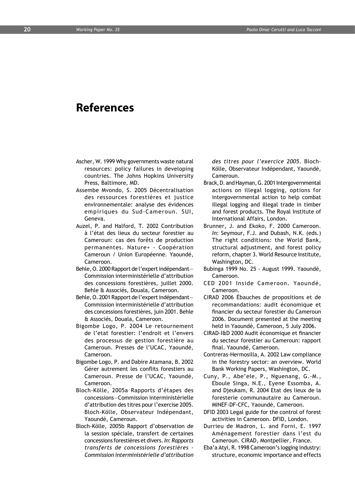### **References**

- Ascher, W. 1999 Why governments waste natural resources: policy failures in developing countries. The Johns Hopkins University Press, Baltimore, MD.
- Assembe Mvondo, S. 2005 Décentralisation des ressources forestières et justice environnementale: analyse des évidences empiriques du Sud-Cameroun. SUI, Geneva.
- Auzel, P. and Halford, T. 2002 Contribution à l'état des lieux du secteur forestier au Cameroun: cas des forêts de production permanentes. Nature+ - Coopération Cameroun / Union Européenne. Yaoundé, Cameroon.
- Behle, O. 2000 Rapport de l'expert indépendant— Commission interministérielle d'attribution des concessions forestières, juillet 2000. Behle & Associés, Douala, Cameroon.
- Behle, O. 2001 Rapport de l'expert indépendant— Commission interministérielle d'attribution des concessions forestières, juin 2001. Behle & Associés, Douala, Cameroon.
- Bigombe Logo, P. 2004 Le retournement de l'etat forestier: l'endroit et l'envers des processus de gestion forestière au Cameroun. Presses de l'UCAC, Yaoundé, Cameroon.
- Bigombe Logo, P. and Dabire Atamana, B. 2002 Gérer autrement les conflits forestiers au Cameroun. Presse de l'UCAC, Yaoundé, Cameroon.
- Bloch-Kölle, 2005a Rapports d'étapes des concessions—Commission interministérielle d'attribution des titres pour l'exercise 2005. Bloch-Kölle, Observateur Indépendant, Yaoundé, Cameroun.
- Bloch-Kölle, 2005b Rapport d'observation de la session spéciale, transfert de certaines concessions forestières et divers. *In*: *Rapports transferts de concessions forestières - Commission interministérielle d'attribution*

*des titres pour l'exercice 2005*. Bloch-Kölle, Observateur Indépendant, Yaoundé, Cameroun.

- Brack, D. and Hayman, G. 2001 Intergovernmental actions on illegal logging, options for intergovernmental action to help combat illegal logging and illegal trade in timber and forest products. The Royal Institute of International Affairs, London.
- Brunner, J. and Ekoko, F. 2000 Cameroon. *In*: Seymour, F.J. and Dubash, N.K. (eds.) The right conditions: the World Bank, structural adjustment, and forest policy reform, chapter 3. World Resource Institute, Washington, DC.
- Bubinga 1999 No. 25 August 1999. Yaoundé, Cameroon.
- CED 2001 Inside Cameroon. Yaoundé, Cameroon.
- CIRAD 2006 Ébauches de propositions et de recommandations: audit économique et financier du secteur forestier du Cameroun 2006. Document presented at the meeting held in Yaoundé, Cameroon, 5 July 2006.
- CIRAD-I&D 2000 Audit économique et financier du secteur forestier au Cameroun: rapport final. Yaoundé, Cameroon.
- Contreras-Hermosilla, A. 2002 Law compliance in the forestry sector: an overview. World Bank Working Papers, Washington, DC.
- Cuny, P., Abe'ele, P., Nguenang, G.-M., Eboule Singa, N.E., Eyene Essomba, A. and Djeukam, R. 2004 Etat des lieux de la foresterie communautaire au Cameroun. MINEF-DF-CFC, Yaoundé, Cameroon.
- DFID 2003 Legal guide for the control of forest activities in Cameroon. DFID, London.
- Durrieu de Madron, L. and Forni, E. 1997 Aménagement forestier dans l'est du Cameroun. CIRAD, Montpellier, France.
- Eba'a Atyi, R. 1998 Cameroon's logging industry: structure, economic importance and effects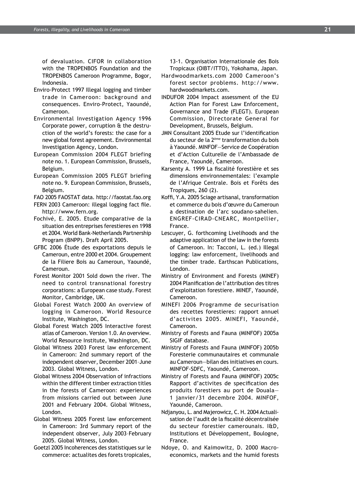of devaluation. CIFOR in collaboration with the TROPENBOS Foundation and the TROPENBOS Cameroon Programme, Bogor, Indonesia.

- Enviro-Protect 1997 Illegal logging and timber trade in Cameroon: background and consequences. Enviro-Protect, Yaoundé, Cameroon.
- Environmental Investigation Agency 1996 Corporate power, corruption & the destruction of the world's forests: the case for a new global forest agreement. Environmental Investigation Agency, London.
- European Commission 2004 FLEGT briefing note no. 1. European Commission, Brussels, Belgium.
- European Commission 2005 FLEGT briefing note no. 9. European Commission, Brussels, Belgium.
- FAO 2005 FAOSTAT data. http://faostat.fao.org
- FERN 2003 Cameroon: illegal logging fact file. http://www.fern.org.
- Fochivé, E. 2005. Etude comparative de la situation des entreprises ferestieres en 1998 et 2004. World Bank-Netherlands Partnership Program (BNPP). Draft April 2005.
- GFBC 2006 Étude des exportations depuis le Cameroun, entre 2000 et 2004. Groupement de la Filiere Bois au Cameroun, Yaoundé, Cameroun.
- Forest Monitor 2001 Sold down the river. The need to control transnational forestry corporations: a European case study. Forest Monitor, Cambridge, UK.
- Global Forest Watch 2000 An overview of logging in Cameroon. World Resource Institute, Washington, DC.
- Global Forest Watch 2005 Interactive forest atlas of Cameroon. Version 1.0. An overview. World Resource Institute, Washington, DC.
- Global Witness 2003 Forest law enforcement in Cameroon: 2nd summary report of the independent observer, December 2001–June 2003. Global Witness, London.
- Global Witness 2004 Observation of infractions within the different timber extraction titles in the forests of Cameroon: experiences from missions carried out between June 2001 and February 2004. Global Witness, London.
- Global Witness 2005 Forest law enforcement in Cameroon: 3rd Summary report of the independent observer, July 2003–February 2005. Global Witness, London.
- Goetzl 2005 Incoherences des statistiques sur le commerce: actualites des forets tropicales,

13-1. Organisation Internationale des Bois Tropicaux (OIBT/ITTO), Yokohama, Japan.

- Hardwoodmarkets.com 2000 Cameroon's forest sector problems. http://www. hardwoodmarkets.com.
- INDUFOR 2004 Impact assessment of the EU Action Plan for Forest Law Enforcement, Governance and Trade (FLEGT). European Commission, Directorate General for Development, Brussels, Belgium.
- JMN Consultant 2005 Etude sur l'identification du secteur de la 2ème transformation du bois à Yaoundé. MINFOF—Service de Coopération et d'Action Culturelle de l'Ambassade de France, Yaoundé, Cameroon.
- Karsenty A. 1999 La fiscalité forestière et ses dimensions environnementales: l'example de l'Afrique Centrale. Bois et Forêts des Tropiques, 260 (2).
- Koffi, Y.A. 2005 Sciage artisanal, transformation et commerce du bois d'œuvre du Cameroun a destination de l'arc soudano-sahelien. ENGREF-CIRAD-CNEARC, Montpellier, France.
- Lescuyer, G. forthcoming Livelihoods and the adaptive application of the law in the forests of Cameroon. In: Tacconi, L. (ed.) Illegal logging: law enforcement, livelihoods and the timber trade. Earthscan Publications, London.
- Ministry of Environment and Forests (MINEF) 2004 Planification de l'attribution des titres d'exploitation forestiere. MINEF, Yaoundé, Cameroon.
- MINEFI 2006 Programme de securisation des recettes forestieres: rapport annuel d'activites 2005. MINEFI, Yaoundé, Cameroon.
- Ministry of Forests and Fauna (MINFOF) 2005a SIGIF database.
- Ministry of Forests and Fauna (MINFOF) 2005b Foresterie communautaires et communale au Cameroun—bilan des initiatives en cours. MINFOF-SDFC, Yaoundé, Cameroon.
- Ministry of Forests and Fauna (MINFOF) 2005c Rapport d'activites de specification des produits forestiers au port de Douala— 1 janvier/31 decembre 2004. MINFOF, Yaoundé, Cameroon.
- Ndjanyou, L. and Majerowicz, C. H. 2004 Actualisation de l'audit de la fiscalité décentralisée du secteur forestier camerounais. I&D, Institutions et Développement, Boulogne, France.
- Ndoye, O. and Kaimowitz, D. 2000 Macroeconomics, markets and the humid forests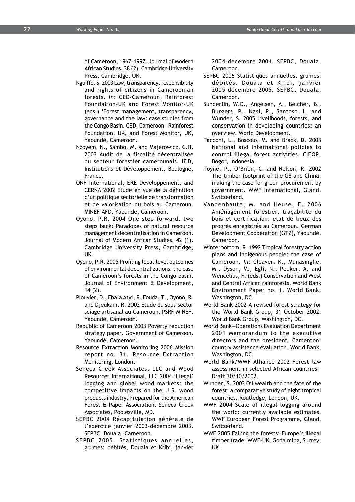of Cameroon, 1967–1997. Journal of Modern African Studies, 38 (2). Cambridge University Press, Cambridge, UK.

- Nguiffo, S. 2003 Law, transparency, responsibility and rights of citizens in Cameroonian forests. *In*: CED-Cameroun, Rainforest Foundation-UK and Forest Monitor-UK (eds.) 'Forest management, transparency, governance and the law: case studies from the Congo Basin. CED, Cameroon—Rainforest Foundation, UK, and Forest Monitor, UK, Yaoundé, Cameroon.
- Nzoyem, N., Sambo, M. and Majerowicz, C.H. 2003 Audit de la fiscalité décentralisée du secteur forestier camerounais. I&D, Institutions et Développement, Boulogne, France.
- ONF International, ERE Developpement, and CERNA 2002 Etude en vue de la définition d'un politique sectorielle de transformation et de valorisation du bois au Cameroun. MINEF-AFD, Yaoundé, Cameroon.
- Oyono, P.R. 2004 One step forward, two steps back? Paradoxes of natural resource management decentralisation in Cameroon. Journal of Modern African Studies, 42 (1). Cambridge University Press, Cambridge, UK.
- Oyono, P.R. 2005 Profiling local-level outcomes of environmental decentralizations: the case of Cameroon's forests in the Congo basin. Journal of Environment & Development, 14 (2).
- Plouvier, D., Eba'a Atyi, R. Fouda, T., Oyono, R. and Djeukam, R. 2002 Etude du sous-sector sciage artisanal au Cameroun. PSRF-MINEF, Yaoundé, Cameroon.
- Republic of Cameroon 2003 Poverty reduction strategy paper. Government of Cameroon. Yaoundé, Cameroon.
- Resource Extraction Monitoring 2006 Mission report no. 31. Resource Extraction Monitoring, London.
- Seneca Creek Associates, LLC and Wood Resources International, LLC 2004 'Illegal' logging and global wood markets: the competitive impacts on the U.S. wood products industry. Prepared for the American Forest & Paper Association. Seneca Creek Associates, Poolesville, MD.
- SEPBC 2004 Récapitulation générale de l'exercice janvier 2003–décembre 2003. SEPBC, Douala, Cameroon.
- SEPBC 2005. Statistiques annuelles, grumes: débités, Douala et Kribi, janvier

2004–décembre 2004. SEPBC, Douala, Cameroon.

- SEPBC 2006 Statistiques annuelles, grumes: débités, Douala et Kribi, janvier 2005–décembre 2005. SEPBC, Douala, Cameroon.
- Sunderlin, W.D., Angelsen, A., Belcher, B., Burgers, P., Nasi, R., Santoso, L. and Wunder, S. 2005 Livelihoods, forests, and conservation in developing countries: an overview. World Development.
- Tacconi, L., Boscolo, M. and Brack, D. 2003 National and international policies to control illegal forest activities. CIFOR, Bogor, Indonesia.
- Toyne, P., O'Brien, C. and Nelson, R. 2002 The timber footprint of the G8 and China: making the case for green procurement by government. WWF International, Gland, Switzerland.
- Vandenhaute, M. and Heuse, E. 2006 Aménagement forestier, traçabilite du bois et certification: etat de lieux des progrès enregistrés au Cameroun. German Development Cooperation (GTZ), Yaoundé, Cameroon.
- Winterbottom, R. 1992 Tropical forestry action plans and indigenous people: the case of Cameroon. *In*: Cleaver, K., Munasinghe, M., Dyson, M., Egli, N., Peuker, A. and Wencelius, F. (eds.) Conservation and West and Central African rainforests. World Bank Environment Paper no. 1. World Bank, Washington, DC.
- World Bank 2002 A revised forest strategy for the World Bank Group, 31 October 2002. World Bank Group, Washington, DC.
- World Bank—Operations Evaluation Department 2001 Memorandum to the executive directors and the president. Cameroon: country assistance evaluation. World Bank, Washington, DC.
- World Bank/WWF Alliance 2002 Forest law assessment in selected African countries— Draft 30/10/2002.
- Wunder, S. 2003 Oil wealth and the fate of the forest: a comparative study of eight tropical countries. Routledge, London, UK.
- WWF 2004 Scale of illegal logging around the world: currently available estimates. WWF European Forest Programme, Gland, Switzerland.
- WWF 2005 Failing the forests: Europe's illegal timber trade. WWF-UK, Godalming, Surrey, UK.